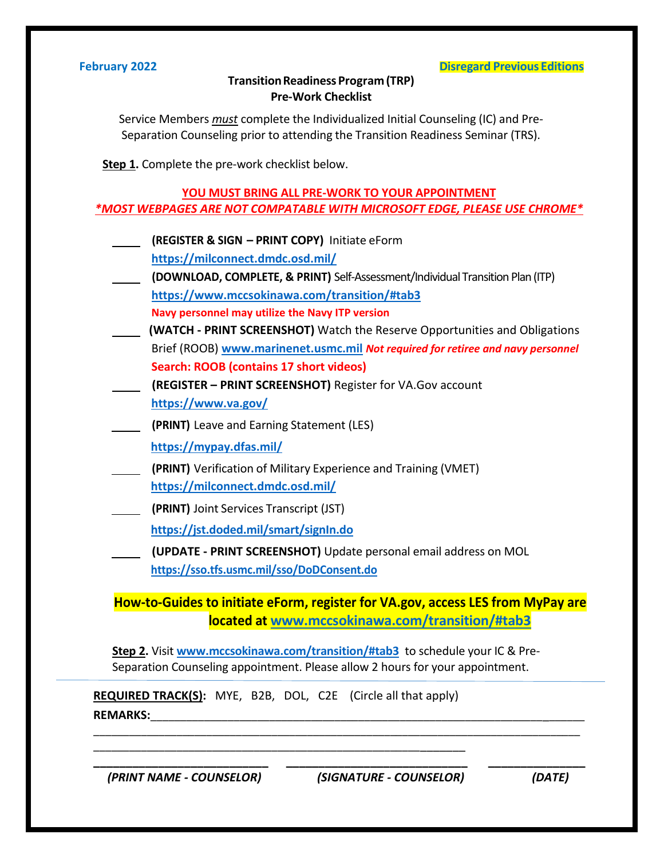## **February 2022 Disregard Previous Editions**

## **Transition Readiness Program (TRP) Pre-Work Checklist**

Service Members *must* complete the Individualized Initial Counseling (IC) and Pre-Separation Counseling prior to attending the Transition Readiness Seminar (TRS).

**Step 1.** Complete the pre-work checklist below.

## **YOU MUST BRING ALL PRE-WORK TO YOUR APPOINTMENT** *\*MOST WEBPAGES ARE NOT COMPATABLE WITH MICROSOFT EDGE, PLEASE USE CHROME\**

- **(REGISTER & SIGN – PRINT COPY)** Initiate eForm **<https://milconnect.dmdc.osd.mil/>**
- **(DOWNLOAD, COMPLETE, & PRINT)** Self-Assessment/Individual Transition Plan (ITP) **<https://www.mccsokinawa.com/transition/#tab3> Navy personnel may utilize the Navy ITP version**
- **(WATCH - PRINT SCREENSHOT)** Watch the Reserve Opportunities and Obligations Brief (ROOB) **[www.marinenet.usmc.mil](http://www.marinenet.usmc.mil/)** *Not required for retiree and navy personnel* **Search: ROOB (contains 17 short videos)**
- **(REGISTER – PRINT SCREENSHOT)** Register for VA.Gov account **<https://www.va.gov/>**
- **(PRINT)** Leave and Earning Statement (LES)
	- **<https://mypay.dfas.mil/>**
- **(PRINT)** Verification of Military Experience and Training (VMET) **<https://milconnect.dmdc.osd.mil/>**
- **(PRINT)** Joint Services Transcript (JST)

**<https://jst.doded.mil/smart/signIn.do>**

 **(UPDATE - PRINT SCREENSHOT)** Update personal email address on MOL

**<https://sso.tfs.usmc.mil/sso/DoDConsent.do>**

**How-to-Guides to initiate eForm, register for VA.gov, access LES from MyPay are located at [www.mccsokinawa.com/transition/#tab3](http://www.mccsokinawa.com/transition/#tab3)**

**Step 2.** Visit **[www.mccsokinawa.com/transition/#tab3](http://www.mccsokinawa.com/transition/#tab3)** to schedule your IC & Pre-Separation Counseling appointment. Please allow 2 hours for your appointment.

\_\_\_\_\_\_\_\_\_\_\_\_\_\_\_\_\_\_\_\_\_\_\_\_\_\_\_\_\_\_\_\_\_\_\_\_\_\_\_\_\_\_\_\_\_\_\_\_\_\_\_\_\_\_\_\_\_\_\_\_\_\_\_\_\_\_\_\_\_\_\_\_\_\_\_\_\_\_\_\_\_\_

**\_\_\_\_\_\_\_\_\_\_\_\_\_\_\_\_\_\_\_\_\_\_\_\_\_\_\_ \_\_\_\_\_\_\_\_\_\_\_\_\_\_\_\_\_\_\_\_\_\_\_\_\_\_\_\_ \_\_\_\_\_\_\_\_\_\_\_\_\_\_\_**

**REQUIRED TRACK(S):** MYE, B2B, DOL, C2E (Circle all that apply) **REMARKS:**\_\_\_\_\_\_\_\_\_\_\_\_\_\_\_\_\_\_\_\_\_\_\_\_\_\_\_\_\_\_\_\_\_\_\_\_\_\_\_\_\_\_\_\_\_\_\_\_\_\_\_\_\_\_\_\_\_\_\_\_\_\_\_\_\_\_\_\_\_\_\_\_\_

\_\_\_\_\_\_\_\_\_\_\_\_\_\_\_\_\_\_\_\_\_\_\_\_\_\_\_\_\_\_\_\_\_\_\_\_\_\_\_\_\_\_\_\_\_\_\_\_\_\_\_\_\_\_\_\_\_\_\_\_\_\_